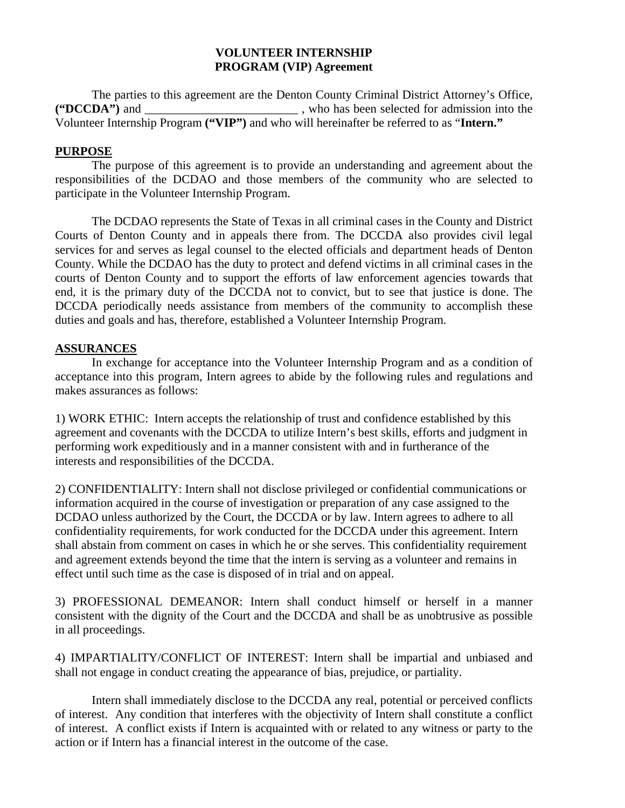## **VOLUNTEER INTERNSHIP PROGRAM (VIP) Agreement**

The parties to this agreement are the Denton County Criminal District Attorney's Office, **("DCCDA")** and \_\_\_\_\_\_\_\_\_\_\_\_\_\_\_\_\_\_\_\_\_\_\_\_\_ , who has been selected for admission into the Volunteer Internship Program **("VIP")** and who will hereinafter be referred to as "**Intern."**

## **PURPOSE**

The purpose of this agreement is to provide an understanding and agreement about the responsibilities of the DCDAO and those members of the community who are selected to participate in the Volunteer Internship Program.

The DCDAO represents the State of Texas in all criminal cases in the County and District Courts of Denton County and in appeals there from. The DCCDA also provides civil legal services for and serves as legal counsel to the elected officials and department heads of Denton County. While the DCDAO has the duty to protect and defend victims in all criminal cases in the courts of Denton County and to support the efforts of law enforcement agencies towards that end, it is the primary duty of the DCCDA not to convict, but to see that justice is done. The DCCDA periodically needs assistance from members of the community to accomplish these duties and goals and has, therefore, established a Volunteer Internship Program.

## **ASSURANCES**

In exchange for acceptance into the Volunteer Internship Program and as a condition of acceptance into this program, Intern agrees to abide by the following rules and regulations and makes assurances as follows:

1) WORK ETHIC: Intern accepts the relationship of trust and confidence established by this agreement and covenants with the DCCDA to utilize Intern's best skills, efforts and judgment in performing work expeditiously and in a manner consistent with and in furtherance of the interests and responsibilities of the DCCDA.

2) CONFIDENTIALITY: Intern shall not disclose privileged or confidential communications or information acquired in the course of investigation or preparation of any case assigned to the DCDAO unless authorized by the Court, the DCCDA or by law. Intern agrees to adhere to all confidentiality requirements, for work conducted for the DCCDA under this agreement. Intern shall abstain from comment on cases in which he or she serves. This confidentiality requirement and agreement extends beyond the time that the intern is serving as a volunteer and remains in effect until such time as the case is disposed of in trial and on appeal.

3) PROFESSIONAL DEMEANOR: Intern shall conduct himself or herself in a manner consistent with the dignity of the Court and the DCCDA and shall be as unobtrusive as possible in all proceedings.

4) IMPARTIALITY/CONFLICT OF INTEREST: Intern shall be impartial and unbiased and shall not engage in conduct creating the appearance of bias, prejudice, or partiality.

Intern shall immediately disclose to the DCCDA any real, potential or perceived conflicts of interest. Any condition that interferes with the objectivity of Intern shall constitute a conflict of interest. A conflict exists if Intern is acquainted with or related to any witness or party to the action or if Intern has a financial interest in the outcome of the case.